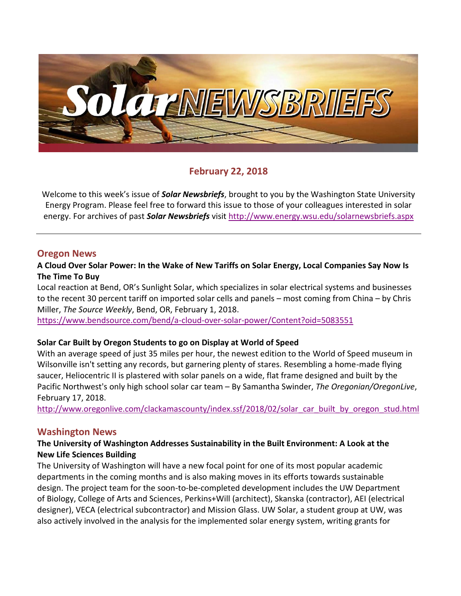

# **February 22, 2018**

Welcome to this week's issue of *Solar Newsbriefs*, brought to you by the Washington State University Energy Program. Please feel free to forward this issue to those of your colleagues interested in solar energy. For archives of past *Solar Newsbriefs* visit<http://www.energy.wsu.edu/solarnewsbriefs.aspx>

# **Oregon News**

#### **A Cloud Over Solar Power: In the Wake of New Tariffs on Solar Energy, Local Companies Say Now Is The Time To Buy**

Local reaction at Bend, OR's Sunlight Solar, which specializes in solar electrical systems and businesses to the recent 30 percent tariff on imported solar cells and panels – most coming from China – by Chris Miller, *The Source Weekly*, Bend, OR, February 1, 2018.

<https://www.bendsource.com/bend/a-cloud-over-solar-power/Content?oid=5083551>

#### **Solar Car Built by Oregon Students to go on Display at World of Speed**

With an average speed of just 35 miles per hour, the newest edition to the [World of Speed](http://www.worldofspeed.org/) museum in Wilsonville isn't setting any records, but garnering plenty of stares. Resembling a home-made flying saucer, Heliocentric II is plastered with solar panels on a wide, flat frame designed and built by the Pacific Northwest's only high school solar car team – By Samantha Swinder, *The Oregonian/OregonLive*, February 17, 2018.

[http://www.oregonlive.com/clackamascounty/index.ssf/2018/02/solar\\_car\\_built\\_by\\_oregon\\_stud.html](http://www.oregonlive.com/clackamascounty/index.ssf/2018/02/solar_car_built_by_oregon_stud.html)

# **Washington News**

# **The University of Washington Addresses Sustainability in the Built Environment: A Look at the New Life Sciences Building**

The University of Washington will have a new focal point for one of its most popular academic departments in the coming months and is also making moves in its efforts towards sustainable design. The project team for the soon-to-be-completed development includes the UW Department of Biology, College of Arts and Sciences, Perkins+Will (architect), Skanska (contractor), AEI (electrical designer), VECA (electrical subcontractor) and Mission Glass. UW Solar, a student group at UW, was also actively involved in the analysis for the implemented solar energy system, writing grants for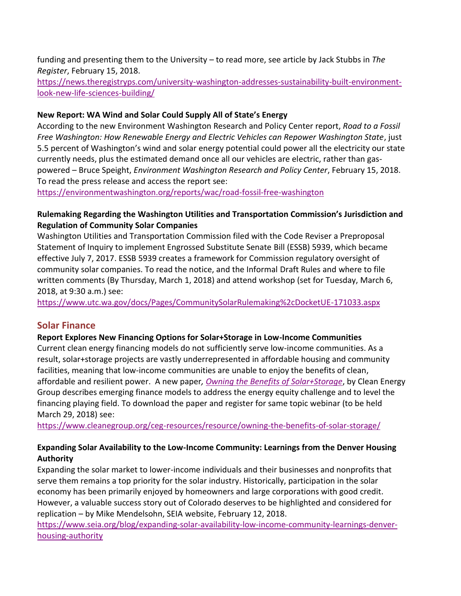funding and presenting them to the University – to read more, see article by Jack Stubbs in *The Register*, February 15, 2018.

[https://news.theregistryps.com/university-washington-addresses-sustainability-built-environment](https://news.theregistryps.com/university-washington-addresses-sustainability-built-environment-look-new-life-sciences-building/)[look-new-life-sciences-building/](https://news.theregistryps.com/university-washington-addresses-sustainability-built-environment-look-new-life-sciences-building/)

# **New Report: WA Wind and Solar Could Supply All of State's Energy**

According to the new Environment Washington Research and Policy Center report, *Road to a Fossil Free Washington: How Renewable Energy and Electric Vehicles can Repower Washington State*, just 5.5 percent of Washington's wind and solar energy potential could power all the electricity our state currently needs, plus the estimated demand once all our vehicles are electric, rather than gaspowered – Bruce Speight, *Environment Washington Research and Policy Center*, February 15, 2018. To read the press release and access the report see:

<https://environmentwashington.org/reports/wac/road-fossil-free-washington>

#### **Rulemaking Regarding the Washington Utilities and Transportation Commission's Jurisdiction and Regulation of Community Solar Companies**

Washington Utilities and Transportation Commission filed with the Code Reviser a Preproposal Statement of Inquiry to implement Engrossed Substitute Senate Bill (ESSB) 5939, which became effective July 7, 2017. ESSB 5939 creates a framework for Commission regulatory oversight of community solar companies. To read the notice, and the Informal Draft Rules and where to file written comments (By Thursday, March 1, 2018) and attend workshop (set for Tuesday, March 6, 2018, at 9:30 a.m.) see:

<https://www.utc.wa.gov/docs/Pages/CommunitySolarRulemaking%2cDocketUE-171033.aspx>

# **Solar Finance**

#### **Report Explores New Financing Options for Solar+Storage in Low-Income Communities**

Current clean energy financing models do not sufficiently serve low-income communities. As a result, solar+storage projects are vastly underrepresented in affordable housing and community facilities, meaning that low-income communities are unable to enjoy the benefits of clean, affordable and resilient power. A new paper*, [Owning the Benefits of Solar+Storage](https://www.cleanegroup.org/wp-content/uploads/Owning-the-Benefits-of-Solar-Storage.pdf)*, by Clean Energy Group describes emerging finance models to address the energy equity challenge and to level the financing playing field. To download the paper and register for same topic webinar (to be held March 29, 2018) see:

<https://www.cleanegroup.org/ceg-resources/resource/owning-the-benefits-of-solar-storage/>

# **Expanding Solar Availability to the Low-Income Community: Learnings from the Denver Housing Authority**

Expanding the solar market to lower-income individuals and their businesses and nonprofits that serve them remains a top priority for the solar industry. Historically, participation in the solar economy has been primarily enjoyed by homeowners and large corporations with good credit. However, a valuable success story out of Colorado deserves to be highlighted and considered for replication – by Mike Mendelsohn, SEIA website, February 12, 2018.

[https://www.seia.org/blog/expanding-solar-availability-low-income-community-learnings-denver](https://www.seia.org/blog/expanding-solar-availability-low-income-community-learnings-denver-housing-authority)[housing-authority](https://www.seia.org/blog/expanding-solar-availability-low-income-community-learnings-denver-housing-authority)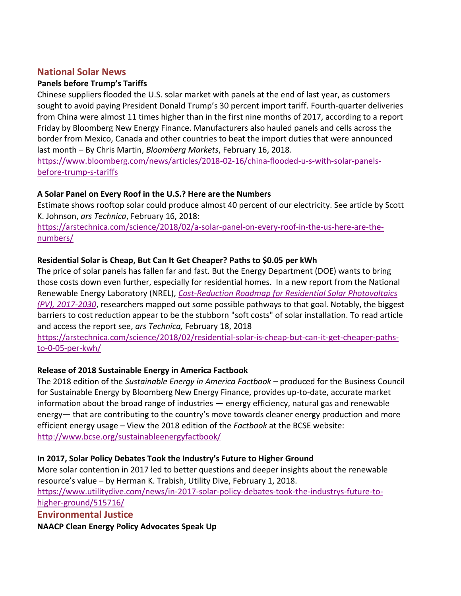# **National Solar News**

#### **Panels before Trump's Tariffs**

Chinese suppliers [flooded](file:///C:/news/terminal/P49BG36JTSIW) the U.S. solar market with panels at the end of last year, as customers sought to avoid paying President Donald Trump's 30 percent import tariff. Fourth-quarter deliveries from China were almost 11 times higher than in the first nine months of 2017, according to a [report](file:///C:/news/terminal/P49BG36JTSIW) Friday by Bloomberg New Energy Finance. Manufacturers also hauled panels and cells across the border from Mexico, Canada and other countries to beat the import duties that were [announced](https://www.bloomberg.com/news/articles/2018-01-22/trump-taxes-solar-imports-in-biggest-blow-to-clean-energy-yet) last month – By Chris Martin, *Bloomberg Markets*, February 16, 2018.

[https://www.bloomberg.com/news/articles/2018-02-16/china-flooded-u-s-with-solar-panels](https://www.bloomberg.com/news/articles/2018-02-16/china-flooded-u-s-with-solar-panels-before-trump-s-tariffs)[before-trump-s-tariffs](https://www.bloomberg.com/news/articles/2018-02-16/china-flooded-u-s-with-solar-panels-before-trump-s-tariffs)

# **A Solar Panel on Every Roof in the U.S.? Here are the Numbers**

Estimate shows rooftop solar could produce almost 40 percent of our electricity. See article by Scott K. Johnson, *ars Technica*, February 16, 2018:

[https://arstechnica.com/science/2018/02/a-solar-panel-on-every-roof-in-the-us-here-are-the](https://arstechnica.com/science/2018/02/a-solar-panel-on-every-roof-in-the-us-here-are-the-numbers/)[numbers/](https://arstechnica.com/science/2018/02/a-solar-panel-on-every-roof-in-the-us-here-are-the-numbers/)

# **Residential Solar is Cheap, But Can It Get Cheaper? Paths to \$0.05 per kWh**

The price of solar panels has fallen far and fast. But the Energy Department (DOE) wants to bring those costs down even further, especially for residential homes. In a [new report](https://www.nrel.gov/news/press/2018/cost-reduction-roadmap-outlines-two-pathways-to-meet-doe-residential-solar-cost-target-for-2030.html) from the National Renewable Energy Laboratory (NREL), *[Cost-Reduction Roadmap for Residential Solar Photovoltaics](https://www.nrel.gov/docs/fy18osti/70748.pdf)  [\(PV\), 2017-2030](https://www.nrel.gov/docs/fy18osti/70748.pdf)*, researchers mapped out some possible pathways to that goal. Notably, the biggest barriers to cost reduction appear to be the stubborn "soft costs" of solar installation. To read article and access the report see, *ars Technica,* February 18, 2018

[https://arstechnica.com/science/2018/02/residential-solar-is-cheap-but-can-it-get-cheaper-paths](https://arstechnica.com/science/2018/02/residential-solar-is-cheap-but-can-it-get-cheaper-paths-to-0-05-per-kwh/)[to-0-05-per-kwh/](https://arstechnica.com/science/2018/02/residential-solar-is-cheap-but-can-it-get-cheaper-paths-to-0-05-per-kwh/)

# **Release of 2018 Sustainable Energy in America Factbook**

The 2018 edition of the *Sustainable Energy in America Factbook* – produced for the Business Council for Sustainable Energy by Bloomberg New Energy Finance, provides up-to-date, accurate market information about the broad range of industries — energy efficiency, natural gas and renewable energy— that are contributing to the country's move towards cleaner energy production and more efficient energy usage – View the 2018 edition of the *Factbook* at the BCSE website: <http://www.bcse.org/sustainableenergyfactbook/>

#### **In 2017, Solar Policy Debates Took the Industry's Future to Higher Ground**

More solar contention in 2017 led to better questions and deeper insights about the renewable resource's value – by Herman K. Trabish, Utility Dive, February 1, 2018. [https://www.utilitydive.com/news/in-2017-solar-policy-debates-took-the-industrys-future-to](https://www.utilitydive.com/news/in-2017-solar-policy-debates-took-the-industrys-future-to-higher-ground/515716/)[higher-ground/515716/](https://www.utilitydive.com/news/in-2017-solar-policy-debates-took-the-industrys-future-to-higher-ground/515716/) **Environmental Justice**

**NAACP Clean Energy Policy Advocates Speak Up**